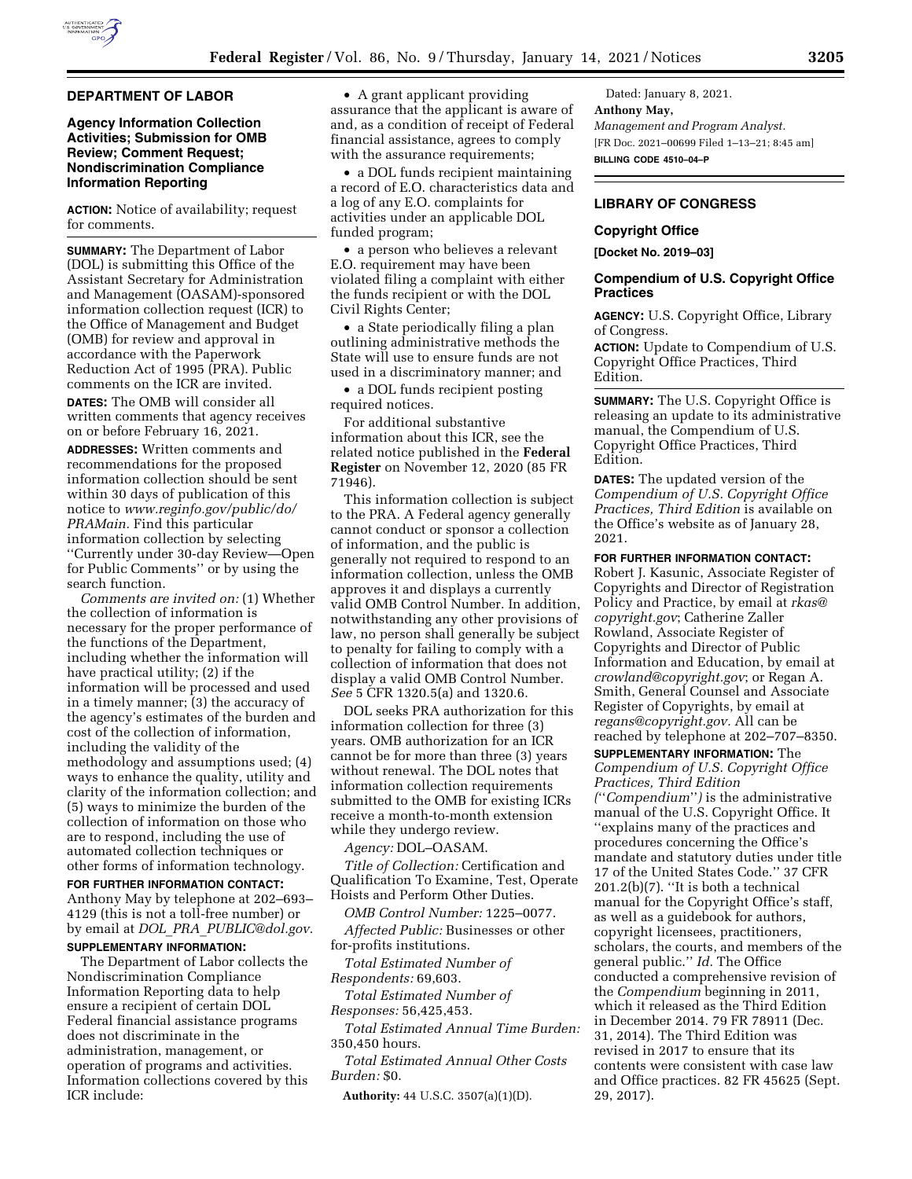

#### **DEPARTMENT OF LABOR**

### **Agency Information Collection Activities; Submission for OMB Review; Comment Request; Nondiscrimination Compliance Information Reporting**

**ACTION:** Notice of availability; request for comments.

**SUMMARY:** The Department of Labor (DOL) is submitting this Office of the Assistant Secretary for Administration and Management (OASAM)-sponsored information collection request (ICR) to the Office of Management and Budget (OMB) for review and approval in accordance with the Paperwork Reduction Act of 1995 (PRA). Public comments on the ICR are invited.

**DATES:** The OMB will consider all written comments that agency receives on or before February 16, 2021.

**ADDRESSES:** Written comments and recommendations for the proposed information collection should be sent within 30 days of publication of this notice to *[www.reginfo.gov/public/do/](http://www.reginfo.gov/public/do/PRAMain) [PRAMain.](http://www.reginfo.gov/public/do/PRAMain)* Find this particular information collection by selecting ''Currently under 30-day Review—Open for Public Comments'' or by using the search function.

*Comments are invited on:* (1) Whether the collection of information is necessary for the proper performance of the functions of the Department, including whether the information will have practical utility; (2) if the information will be processed and used in a timely manner; (3) the accuracy of the agency's estimates of the burden and cost of the collection of information, including the validity of the methodology and assumptions used; (4) ways to enhance the quality, utility and clarity of the information collection; and (5) ways to minimize the burden of the collection of information on those who are to respond, including the use of automated collection techniques or other forms of information technology.

**FOR FURTHER INFORMATION CONTACT:**  Anthony May by telephone at 202–693– 4129 (this is not a toll-free number) or by email at *DOL*\_*PRA*\_*[PUBLIC@dol.gov.](mailto:DOL_PRA_PUBLIC@dol.gov)*  **SUPPLEMENTARY INFORMATION:** 

The Department of Labor collects the Nondiscrimination Compliance Information Reporting data to help ensure a recipient of certain DOL Federal financial assistance programs does not discriminate in the administration, management, or operation of programs and activities. Information collections covered by this ICR include:

• A grant applicant providing assurance that the applicant is aware of and, as a condition of receipt of Federal financial assistance, agrees to comply with the assurance requirements;

• a DOL funds recipient maintaining a record of E.O. characteristics data and a log of any E.O. complaints for activities under an applicable DOL funded program;

• a person who believes a relevant E.O. requirement may have been violated filing a complaint with either the funds recipient or with the DOL Civil Rights Center;

• a State periodically filing a plan outlining administrative methods the State will use to ensure funds are not used in a discriminatory manner; and

• a DOL funds recipient posting required notices.

For additional substantive information about this ICR, see the related notice published in the **Federal Register** on November 12, 2020 (85 FR 71946).

This information collection is subject to the PRA. A Federal agency generally cannot conduct or sponsor a collection of information, and the public is generally not required to respond to an information collection, unless the OMB approves it and displays a currently valid OMB Control Number. In addition, notwithstanding any other provisions of law, no person shall generally be subject to penalty for failing to comply with a collection of information that does not display a valid OMB Control Number. *See* 5 CFR 1320.5(a) and 1320.6.

DOL seeks PRA authorization for this information collection for three (3) years. OMB authorization for an ICR cannot be for more than three (3) years without renewal. The DOL notes that information collection requirements submitted to the OMB for existing ICRs receive a month-to-month extension while they undergo review.

*Agency:* DOL–OASAM.

*Title of Collection:* Certification and Qualification To Examine, Test, Operate Hoists and Perform Other Duties.

*OMB Control Number:* 1225–0077.

*Affected Public:* Businesses or other for-profits institutions.

*Total Estimated Number of Respondents:* 69,603.

*Total Estimated Number of Responses:* 56,425,453.

*Total Estimated Annual Time Burden:*  350,450 hours.

*Total Estimated Annual Other Costs Burden:* \$0.

**Authority:** 44 U.S.C. 3507(a)(1)(D).

Dated: January 8, 2021. **Anthony May,**  *Management and Program Analyst.*  [FR Doc. 2021–00699 Filed 1–13–21; 8:45 am] **BILLING CODE 4510–04–P** 

## **LIBRARY OF CONGRESS**

### **Copyright Office**

**[Docket No. 2019–03]** 

## **Compendium of U.S. Copyright Office Practices**

**AGENCY:** U.S. Copyright Office, Library of Congress.

**ACTION:** Update to Compendium of U.S. Copyright Office Practices, Third Edition.

**SUMMARY:** The U.S. Copyright Office is releasing an update to its administrative manual, the Compendium of U.S. Copyright Office Practices, Third Edition.

**DATES:** The updated version of the *Compendium of U.S. Copyright Office Practices, Third Edition* is available on the Office's website as of January 28, 2021.

**FOR FURTHER INFORMATION CONTACT:** 

Robert J. Kasunic, Associate Register of Copyrights and Director of Registration Policy and Practice, by email at *[rkas@](mailto:rkas@copyright.gov) [copyright.gov](mailto:rkas@copyright.gov)*; Catherine Zaller Rowland, Associate Register of Copyrights and Director of Public Information and Education, by email at *[crowland@copyright.gov](mailto:crowland@copyright.gov)*; or Regan A. Smith, General Counsel and Associate Register of Copyrights, by email at *[regans@copyright.gov.](mailto:regans@copyright.gov)* All can be reached by telephone at 202–707–8350.

## **SUPPLEMENTARY INFORMATION:** The *Compendium of U.S. Copyright Office Practices, Third Edition*

*(*''*Compendium*''*)* is the administrative manual of the U.S. Copyright Office. It ''explains many of the practices and procedures concerning the Office's mandate and statutory duties under title 17 of the United States Code.'' 37 CFR 201.2(b)(7). ''It is both a technical manual for the Copyright Office's staff, as well as a guidebook for authors, copyright licensees, practitioners, scholars, the courts, and members of the general public.'' *Id.* The Office conducted a comprehensive revision of the *Compendium* beginning in 2011, which it released as the Third Edition in December 2014. 79 FR 78911 (Dec. 31, 2014). The Third Edition was revised in 2017 to ensure that its contents were consistent with case law and Office practices. 82 FR 45625 (Sept. 29, 2017).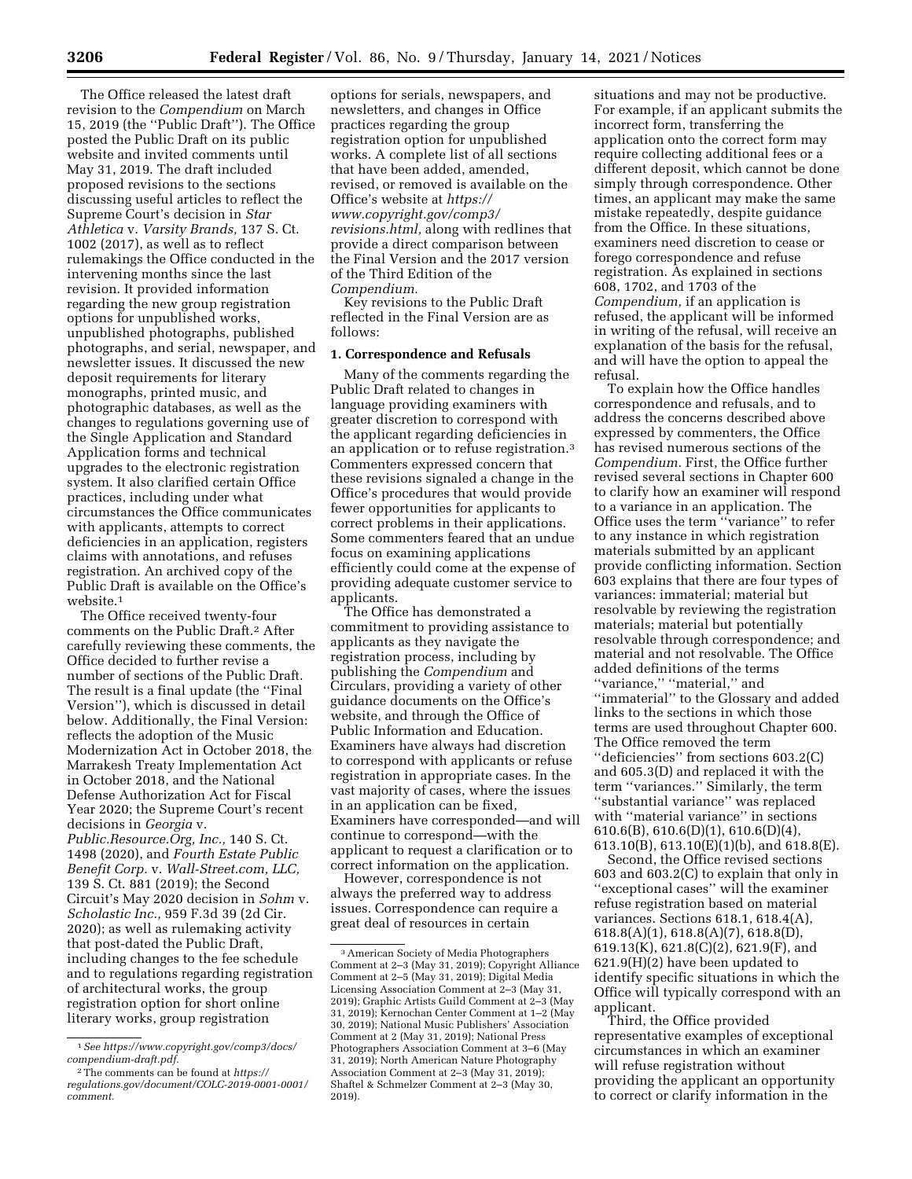The Office released the latest draft revision to the *Compendium* on March 15, 2019 (the ''Public Draft''). The Office posted the Public Draft on its public website and invited comments until May 31, 2019. The draft included proposed revisions to the sections discussing useful articles to reflect the Supreme Court's decision in *Star Athletica* v. *Varsity Brands,* 137 S. Ct. 1002 (2017), as well as to reflect rulemakings the Office conducted in the intervening months since the last revision. It provided information regarding the new group registration options for unpublished works, unpublished photographs, published photographs, and serial, newspaper, and newsletter issues. It discussed the new deposit requirements for literary monographs, printed music, and photographic databases, as well as the changes to regulations governing use of the Single Application and Standard Application forms and technical upgrades to the electronic registration system. It also clarified certain Office practices, including under what circumstances the Office communicates with applicants, attempts to correct deficiencies in an application, registers claims with annotations, and refuses registration. An archived copy of the Public Draft is available on the Office's website.<sup>1</sup>

The Office received twenty-four comments on the Public Draft.2 After carefully reviewing these comments, the Office decided to further revise a number of sections of the Public Draft. The result is a final update (the ''Final Version''), which is discussed in detail below. Additionally, the Final Version: reflects the adoption of the Music Modernization Act in October 2018, the Marrakesh Treaty Implementation Act in October 2018, and the National Defense Authorization Act for Fiscal Year 2020; the Supreme Court's recent decisions in *Georgia* v.

*Public.Resource.Org, Inc.,* 140 S. Ct. 1498 (2020), and *Fourth Estate Public Benefit Corp.* v. *Wall-Street.com, LLC,*  139 S. Ct. 881 (2019); the Second Circuit's May 2020 decision in *Sohm* v. *Scholastic Inc.,* 959 F.3d 39 (2d Cir. 2020); as well as rulemaking activity that post-dated the Public Draft, including changes to the fee schedule and to regulations regarding registration of architectural works, the group registration option for short online literary works, group registration

options for serials, newspapers, and newsletters, and changes in Office practices regarding the group registration option for unpublished works. A complete list of all sections that have been added, amended, revised, or removed is available on the Office's website at *[https://](https://www.copyright.gov/comp3/revisions.html) [www.copyright.gov/comp3/](https://www.copyright.gov/comp3/revisions.html)  [revisions.html,](https://www.copyright.gov/comp3/revisions.html)* along with redlines that provide a direct comparison between the Final Version and the 2017 version of the Third Edition of the *Compendium.* 

Key revisions to the Public Draft reflected in the Final Version are as follows:

#### **1. Correspondence and Refusals**

Many of the comments regarding the Public Draft related to changes in language providing examiners with greater discretion to correspond with the applicant regarding deficiencies in an application or to refuse registration.3 Commenters expressed concern that these revisions signaled a change in the Office's procedures that would provide fewer opportunities for applicants to correct problems in their applications. Some commenters feared that an undue focus on examining applications efficiently could come at the expense of providing adequate customer service to applicants.

The Office has demonstrated a commitment to providing assistance to applicants as they navigate the registration process, including by publishing the *Compendium* and Circulars, providing a variety of other guidance documents on the Office's website, and through the Office of Public Information and Education. Examiners have always had discretion to correspond with applicants or refuse registration in appropriate cases. In the vast majority of cases, where the issues in an application can be fixed, Examiners have corresponded—and will continue to correspond—with the applicant to request a clarification or to correct information on the application.

However, correspondence is not always the preferred way to address issues. Correspondence can require a great deal of resources in certain

situations and may not be productive. For example, if an applicant submits the incorrect form, transferring the application onto the correct form may require collecting additional fees or a different deposit, which cannot be done simply through correspondence. Other times, an applicant may make the same mistake repeatedly, despite guidance from the Office. In these situations, examiners need discretion to cease or forego correspondence and refuse registration. As explained in sections 608, 1702, and 1703 of the *Compendium,* if an application is refused, the applicant will be informed in writing of the refusal, will receive an explanation of the basis for the refusal, and will have the option to appeal the refusal.

To explain how the Office handles correspondence and refusals, and to address the concerns described above expressed by commenters, the Office has revised numerous sections of the *Compendium.* First, the Office further revised several sections in Chapter 600 to clarify how an examiner will respond to a variance in an application. The Office uses the term ''variance'' to refer to any instance in which registration materials submitted by an applicant provide conflicting information. Section 603 explains that there are four types of variances: immaterial; material but resolvable by reviewing the registration materials; material but potentially resolvable through correspondence; and material and not resolvable. The Office added definitions of the terms ''variance,'' ''material,'' and ''immaterial'' to the Glossary and added links to the sections in which those terms are used throughout Chapter 600. The Office removed the term ''deficiencies'' from sections 603.2(C) and 605.3(D) and replaced it with the term ''variances.'' Similarly, the term ''substantial variance'' was replaced with ''material variance'' in sections 610.6(B), 610.6(D)(1), 610.6(D)(4), 613.10(B), 613.10(E)(1)(b), and 618.8(E).

Second, the Office revised sections 603 and 603.2(C) to explain that only in ''exceptional cases'' will the examiner refuse registration based on material variances. Sections 618.1, 618.4(A), 618.8(A)(1), 618.8(A)(7), 618.8(D), 619.13(K), 621.8(C)(2), 621.9(F), and 621.9(H)(2) have been updated to identify specific situations in which the Office will typically correspond with an applicant.

Third, the Office provided representative examples of exceptional circumstances in which an examiner will refuse registration without providing the applicant an opportunity to correct or clarify information in the

<sup>1</sup>*See [https://www.copyright.gov/comp3/docs/](https://www.copyright.gov/comp3/docs/compendium-draft.pdf) [compendium-draft.pdf.](https://www.copyright.gov/comp3/docs/compendium-draft.pdf)* 

<sup>2</sup>The comments can be found at *[https://](https://regulations.gov/document/COLC-2019-0001-0001/comment) [regulations.gov/document/COLC-2019-0001-0001/](https://regulations.gov/document/COLC-2019-0001-0001/comment)  [comment.](https://regulations.gov/document/COLC-2019-0001-0001/comment)* 

<sup>3</sup>American Society of Media Photographers Comment at 2–3 (May 31, 2019); Copyright Alliance Comment at 2–5 (May 31, 2019); Digital Media Licensing Association Comment at 2–3 (May 31, 2019); Graphic Artists Guild Comment at 2–3 (May 31, 2019); Kernochan Center Comment at 1–2 (May 30, 2019); National Music Publishers' Association Comment at 2 (May 31, 2019); National Press Photographers Association Comment at 3–6 (May 31, 2019); North American Nature Photography Association Comment at 2–3 (May 31, 2019); Shaftel & Schmelzer Comment at 2–3 (May 30, 2019).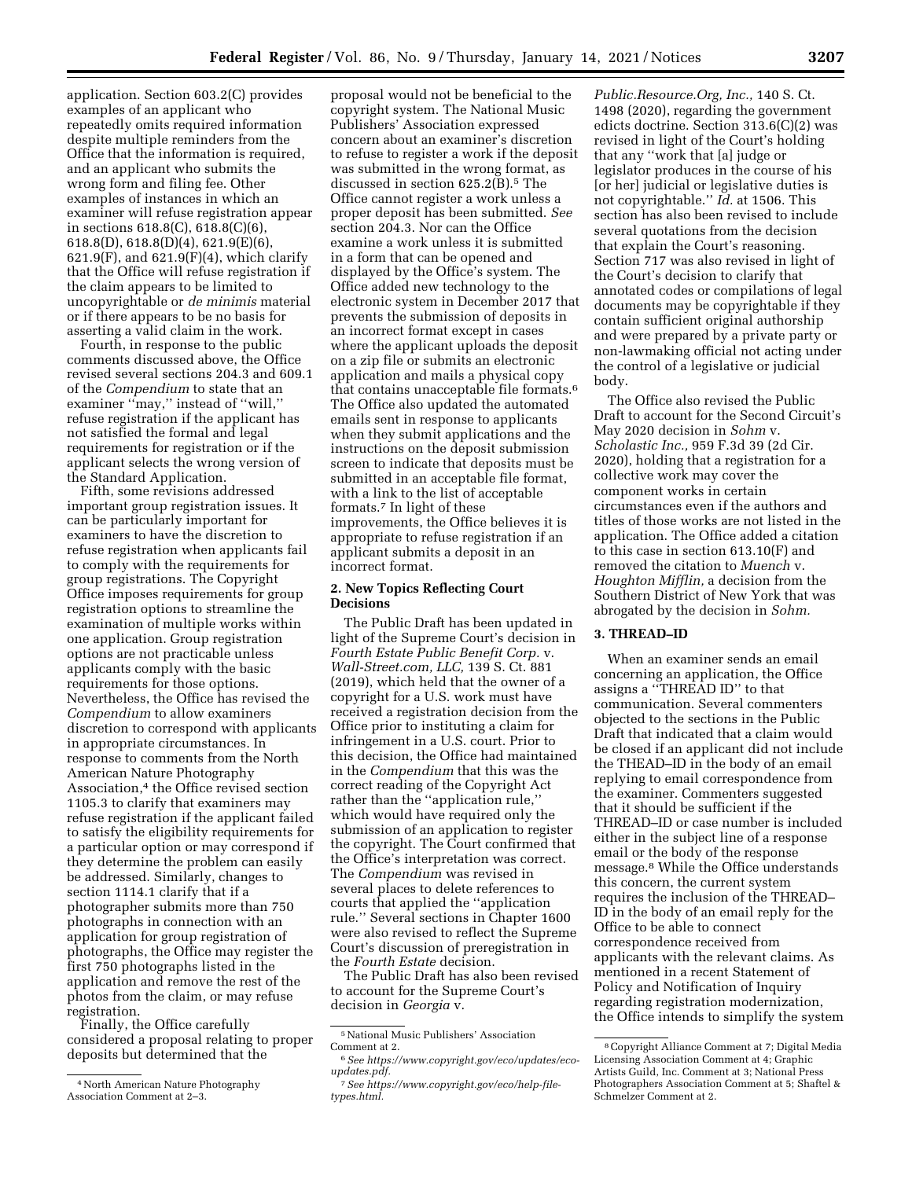application. Section 603.2(C) provides examples of an applicant who repeatedly omits required information despite multiple reminders from the Office that the information is required, and an applicant who submits the wrong form and filing fee. Other examples of instances in which an examiner will refuse registration appear in sections 618.8(C), 618.8(C)(6), 618.8(D), 618.8(D)(4), 621.9(E)(6),  $621.9(F)$ , and  $621.9(F)(4)$ , which clarify that the Office will refuse registration if the claim appears to be limited to uncopyrightable or *de minimis* material or if there appears to be no basis for asserting a valid claim in the work.

Fourth, in response to the public comments discussed above, the Office revised several sections 204.3 and 609.1 of the *Compendium* to state that an examiner "may," instead of "will," refuse registration if the applicant has not satisfied the formal and legal requirements for registration or if the applicant selects the wrong version of the Standard Application.

Fifth, some revisions addressed important group registration issues. It can be particularly important for examiners to have the discretion to refuse registration when applicants fail to comply with the requirements for group registrations. The Copyright Office imposes requirements for group registration options to streamline the examination of multiple works within one application. Group registration options are not practicable unless applicants comply with the basic requirements for those options. Nevertheless, the Office has revised the *Compendium* to allow examiners discretion to correspond with applicants in appropriate circumstances. In response to comments from the North American Nature Photography Association,<sup>4</sup> the Office revised section 1105.3 to clarify that examiners may refuse registration if the applicant failed to satisfy the eligibility requirements for a particular option or may correspond if they determine the problem can easily be addressed. Similarly, changes to section 1114.1 clarify that if a photographer submits more than 750 photographs in connection with an application for group registration of photographs, the Office may register the first 750 photographs listed in the application and remove the rest of the photos from the claim, or may refuse registration.

Finally, the Office carefully considered a proposal relating to proper deposits but determined that the

proposal would not be beneficial to the copyright system. The National Music Publishers' Association expressed concern about an examiner's discretion to refuse to register a work if the deposit was submitted in the wrong format, as discussed in section 625.2(B).5 The Office cannot register a work unless a proper deposit has been submitted. *See*  section 204.3. Nor can the Office examine a work unless it is submitted in a form that can be opened and displayed by the Office's system. The Office added new technology to the electronic system in December 2017 that prevents the submission of deposits in an incorrect format except in cases where the applicant uploads the deposit on a zip file or submits an electronic application and mails a physical copy that contains unacceptable file formats.6 The Office also updated the automated emails sent in response to applicants when they submit applications and the instructions on the deposit submission screen to indicate that deposits must be submitted in an acceptable file format, with a link to the list of acceptable formats.7 In light of these improvements, the Office believes it is appropriate to refuse registration if an applicant submits a deposit in an incorrect format.

## **2. New Topics Reflecting Court Decisions**

The Public Draft has been updated in light of the Supreme Court's decision in *Fourth Estate Public Benefit Corp.* v. *Wall-Street.com, LLC,* 139 S. Ct. 881 (2019), which held that the owner of a copyright for a U.S. work must have received a registration decision from the Office prior to instituting a claim for infringement in a U.S. court. Prior to this decision, the Office had maintained in the *Compendium* that this was the correct reading of the Copyright Act rather than the ''application rule,'' which would have required only the submission of an application to register the copyright. The Court confirmed that the Office's interpretation was correct. The *Compendium* was revised in several places to delete references to courts that applied the ''application rule.'' Several sections in Chapter 1600 were also revised to reflect the Supreme Court's discussion of preregistration in the *Fourth Estate* decision.

The Public Draft has also been revised to account for the Supreme Court's decision in *Georgia* v.

*Public.Resource.Org, Inc.,* 140 S. Ct. 1498 (2020), regarding the government edicts doctrine. Section 313.6(C)(2) was revised in light of the Court's holding that any ''work that [a] judge or legislator produces in the course of his [or her] judicial or legislative duties is not copyrightable.'' *Id.* at 1506. This section has also been revised to include several quotations from the decision that explain the Court's reasoning. Section 717 was also revised in light of the Court's decision to clarify that annotated codes or compilations of legal documents may be copyrightable if they contain sufficient original authorship and were prepared by a private party or non-lawmaking official not acting under the control of a legislative or judicial body.

The Office also revised the Public Draft to account for the Second Circuit's May 2020 decision in *Sohm* v. *Scholastic Inc.,* 959 F.3d 39 (2d Cir. 2020), holding that a registration for a collective work may cover the component works in certain circumstances even if the authors and titles of those works are not listed in the application. The Office added a citation to this case in section 613.10(F) and removed the citation to *Muench* v. *Houghton Mifflin,* a decision from the Southern District of New York that was abrogated by the decision in *Sohm.* 

# **3. THREAD–ID**

When an examiner sends an email concerning an application, the Office assigns a ''THREAD ID'' to that communication. Several commenters objected to the sections in the Public Draft that indicated that a claim would be closed if an applicant did not include the THEAD–ID in the body of an email replying to email correspondence from the examiner. Commenters suggested that it should be sufficient if the THREAD–ID or case number is included either in the subject line of a response email or the body of the response message.8 While the Office understands this concern, the current system requires the inclusion of the THREAD– ID in the body of an email reply for the Office to be able to connect correspondence received from applicants with the relevant claims. As mentioned in a recent Statement of Policy and Notification of Inquiry regarding registration modernization, the Office intends to simplify the system

<sup>4</sup>North American Nature Photography Association Comment at 2–3.

 $^5$ National Music Publishers' Association Comment at 2.

 $6$  See [https://www.copyright.gov/eco/updates/eco](https://www.copyright.gov/eco/updates/eco-updates.pdf)*[updates.pdf.](https://www.copyright.gov/eco/updates/eco-updates.pdf)* 

<sup>7</sup>*See [https://www.copyright.gov/eco/help-file](https://www.copyright.gov/eco/help-file-types.html)[types.html.](https://www.copyright.gov/eco/help-file-types.html)* 

<sup>8</sup>Copyright Alliance Comment at 7; Digital Media Licensing Association Comment at 4; Graphic Artists Guild, Inc. Comment at 3; National Press Photographers Association Comment at 5; Shaftel & Schmelzer Comment at 2.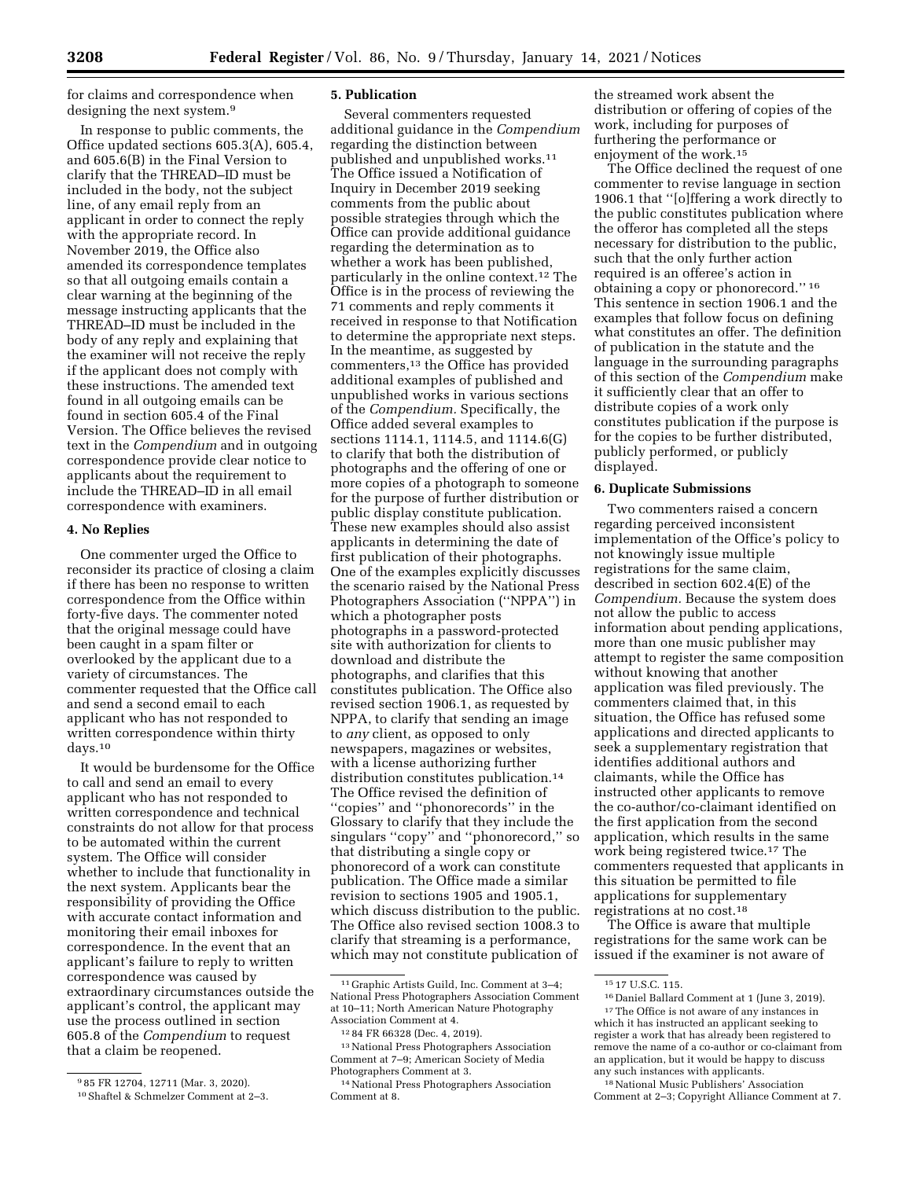for claims and correspondence when designing the next system.9

In response to public comments, the Office updated sections 605.3(A), 605.4, and 605.6(B) in the Final Version to clarify that the THREAD–ID must be included in the body, not the subject line, of any email reply from an applicant in order to connect the reply with the appropriate record. In November 2019, the Office also amended its correspondence templates so that all outgoing emails contain a clear warning at the beginning of the message instructing applicants that the THREAD–ID must be included in the body of any reply and explaining that the examiner will not receive the reply if the applicant does not comply with these instructions. The amended text found in all outgoing emails can be found in section 605.4 of the Final Version. The Office believes the revised text in the *Compendium* and in outgoing correspondence provide clear notice to applicants about the requirement to include the THREAD–ID in all email correspondence with examiners.

### **4. No Replies**

One commenter urged the Office to reconsider its practice of closing a claim if there has been no response to written correspondence from the Office within forty-five days. The commenter noted that the original message could have been caught in a spam filter or overlooked by the applicant due to a variety of circumstances. The commenter requested that the Office call and send a second email to each applicant who has not responded to written correspondence within thirty days.10

It would be burdensome for the Office to call and send an email to every applicant who has not responded to written correspondence and technical constraints do not allow for that process to be automated within the current system. The Office will consider whether to include that functionality in the next system. Applicants bear the responsibility of providing the Office with accurate contact information and monitoring their email inboxes for correspondence. In the event that an applicant's failure to reply to written correspondence was caused by extraordinary circumstances outside the applicant's control, the applicant may use the process outlined in section 605.8 of the *Compendium* to request that a claim be reopened.

### **5. Publication**

Several commenters requested additional guidance in the *Compendium*  regarding the distinction between published and unpublished works.11 The Office issued a Notification of Inquiry in December 2019 seeking comments from the public about possible strategies through which the Office can provide additional guidance regarding the determination as to whether a work has been published, particularly in the online context.12 The Office is in the process of reviewing the 71 comments and reply comments it received in response to that Notification to determine the appropriate next steps. In the meantime, as suggested by commenters,13 the Office has provided additional examples of published and unpublished works in various sections of the *Compendium.* Specifically, the Office added several examples to sections 1114.1, 1114.5, and 1114.6(G) to clarify that both the distribution of photographs and the offering of one or more copies of a photograph to someone for the purpose of further distribution or public display constitute publication. These new examples should also assist applicants in determining the date of first publication of their photographs. One of the examples explicitly discusses the scenario raised by the National Press Photographers Association (''NPPA'') in which a photographer posts photographs in a password-protected site with authorization for clients to download and distribute the photographs, and clarifies that this constitutes publication. The Office also revised section 1906.1, as requested by NPPA, to clarify that sending an image to *any* client, as opposed to only newspapers, magazines or websites, with a license authorizing further distribution constitutes publication.14 The Office revised the definition of ''copies'' and ''phonorecords'' in the Glossary to clarify that they include the singulars ''copy'' and ''phonorecord,'' so that distributing a single copy or phonorecord of a work can constitute publication. The Office made a similar revision to sections 1905 and 1905.1, which discuss distribution to the public. The Office also revised section 1008.3 to clarify that streaming is a performance, which may not constitute publication of

the streamed work absent the distribution or offering of copies of the work, including for purposes of furthering the performance or enjoyment of the work.15

The Office declined the request of one commenter to revise language in section 1906.1 that ''[o]ffering a work directly to the public constitutes publication where the offeror has completed all the steps necessary for distribution to the public, such that the only further action required is an offeree's action in obtaining a copy or phonorecord.'' 16 This sentence in section 1906.1 and the examples that follow focus on defining what constitutes an offer. The definition of publication in the statute and the language in the surrounding paragraphs of this section of the *Compendium* make it sufficiently clear that an offer to distribute copies of a work only constitutes publication if the purpose is for the copies to be further distributed, publicly performed, or publicly displayed.

### **6. Duplicate Submissions**

Two commenters raised a concern regarding perceived inconsistent implementation of the Office's policy to not knowingly issue multiple registrations for the same claim, described in section 602.4(E) of the *Compendium.* Because the system does not allow the public to access information about pending applications, more than one music publisher may attempt to register the same composition without knowing that another application was filed previously. The commenters claimed that, in this situation, the Office has refused some applications and directed applicants to seek a supplementary registration that identifies additional authors and claimants, while the Office has instructed other applicants to remove the co-author/co-claimant identified on the first application from the second application, which results in the same work being registered twice.17 The commenters requested that applicants in this situation be permitted to file applications for supplementary registrations at no cost.18

The Office is aware that multiple registrations for the same work can be issued if the examiner is not aware of

<sup>9</sup> 85 FR 12704, 12711 (Mar. 3, 2020). 10Shaftel & Schmelzer Comment at 2–3.

<sup>11</sup> Graphic Artists Guild, Inc. Comment at 3–4; National Press Photographers Association Comment at 10–11; North American Nature Photography Association Comment at 4.

<sup>12</sup> 84 FR 66328 (Dec. 4, 2019).

<sup>13</sup>National Press Photographers Association Comment at 7–9; American Society of Media Photographers Comment at 3.

<sup>14</sup>National Press Photographers Association Comment at 8.

<sup>15</sup> 17 U.S.C. 115.

<sup>16</sup> Daniel Ballard Comment at 1 (June 3, 2019). 17The Office is not aware of any instances in which it has instructed an applicant seeking to register a work that has already been registered to remove the name of a co-author or co-claimant from an application, but it would be happy to discuss any such instances with applicants.

<sup>18</sup>National Music Publishers' Association Comment at 2–3; Copyright Alliance Comment at 7.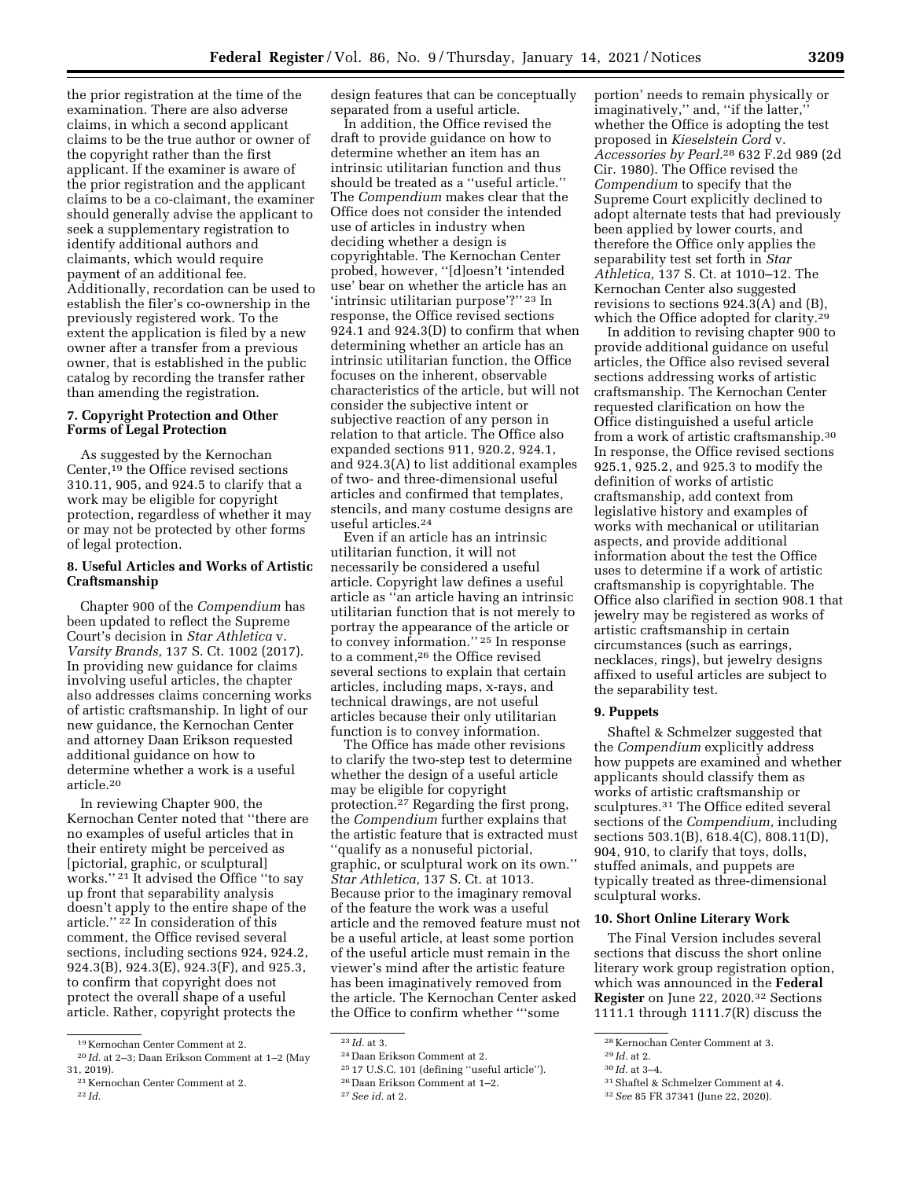the prior registration at the time of the examination. There are also adverse claims, in which a second applicant claims to be the true author or owner of the copyright rather than the first applicant. If the examiner is aware of the prior registration and the applicant claims to be a co-claimant, the examiner should generally advise the applicant to seek a supplementary registration to identify additional authors and claimants, which would require payment of an additional fee. Additionally, recordation can be used to establish the filer's co-ownership in the previously registered work. To the extent the application is filed by a new owner after a transfer from a previous owner, that is established in the public catalog by recording the transfer rather than amending the registration.

## **7. Copyright Protection and Other Forms of Legal Protection**

As suggested by the Kernochan Center,19 the Office revised sections 310.11, 905, and 924.5 to clarify that a work may be eligible for copyright protection, regardless of whether it may or may not be protected by other forms of legal protection.

## **8. Useful Articles and Works of Artistic Craftsmanship**

Chapter 900 of the *Compendium* has been updated to reflect the Supreme Court's decision in *Star Athletica* v. *Varsity Brands,* 137 S. Ct. 1002 (2017). In providing new guidance for claims involving useful articles, the chapter also addresses claims concerning works of artistic craftsmanship. In light of our new guidance, the Kernochan Center and attorney Daan Erikson requested additional guidance on how to determine whether a work is a useful article.20

In reviewing Chapter 900, the Kernochan Center noted that ''there are no examples of useful articles that in their entirety might be perceived as [pictorial, graphic, or sculptural] works.'' 21 It advised the Office ''to say up front that separability analysis doesn't apply to the entire shape of the article.'' 22 In consideration of this comment, the Office revised several sections, including sections 924, 924.2, 924.3(B), 924.3(E), 924.3(F), and 925.3, to confirm that copyright does not protect the overall shape of a useful article. Rather, copyright protects the

design features that can be conceptually separated from a useful article.

In addition, the Office revised the draft to provide guidance on how to determine whether an item has an intrinsic utilitarian function and thus should be treated as a ''useful article.'' The *Compendium* makes clear that the Office does not consider the intended use of articles in industry when deciding whether a design is copyrightable. The Kernochan Center probed, however, ''[d]oesn't 'intended use' bear on whether the article has an 'intrinsic utilitarian purpose'?'' 23 In response, the Office revised sections 924.1 and 924.3(D) to confirm that when determining whether an article has an intrinsic utilitarian function, the Office focuses on the inherent, observable characteristics of the article, but will not consider the subjective intent or subjective reaction of any person in relation to that article. The Office also expanded sections 911, 920.2, 924.1, and 924.3(A) to list additional examples of two- and three-dimensional useful articles and confirmed that templates, stencils, and many costume designs are useful articles.24

Even if an article has an intrinsic utilitarian function, it will not necessarily be considered a useful article. Copyright law defines a useful article as ''an article having an intrinsic utilitarian function that is not merely to portray the appearance of the article or to convey information.'' 25 In response to a comment,26 the Office revised several sections to explain that certain articles, including maps, x-rays, and technical drawings, are not useful articles because their only utilitarian function is to convey information.

The Office has made other revisions to clarify the two-step test to determine whether the design of a useful article may be eligible for copyright protection.27 Regarding the first prong, the *Compendium* further explains that the artistic feature that is extracted must ''qualify as a nonuseful pictorial, graphic, or sculptural work on its own.'' *Star Athletica,* 137 S. Ct. at 1013. Because prior to the imaginary removal of the feature the work was a useful article and the removed feature must not be a useful article, at least some portion of the useful article must remain in the viewer's mind after the artistic feature has been imaginatively removed from the article. The Kernochan Center asked the Office to confirm whether '''some

portion' needs to remain physically or imaginatively,'' and, ''if the latter,'' whether the Office is adopting the test proposed in *Kieselstein Cord* v. *Accessories by Pearl.*28 632 F.2d 989 (2d Cir. 1980). The Office revised the *Compendium* to specify that the Supreme Court explicitly declined to adopt alternate tests that had previously been applied by lower courts, and therefore the Office only applies the separability test set forth in *Star Athletica,* 137 S. Ct. at 1010–12. The Kernochan Center also suggested revisions to sections 924.3(A) and (B), which the Office adopted for clarity.<sup>29</sup>

In addition to revising chapter 900 to provide additional guidance on useful articles, the Office also revised several sections addressing works of artistic craftsmanship. The Kernochan Center requested clarification on how the Office distinguished a useful article from a work of artistic craftsmanship.30 In response, the Office revised sections 925.1, 925.2, and 925.3 to modify the definition of works of artistic craftsmanship, add context from legislative history and examples of works with mechanical or utilitarian aspects, and provide additional information about the test the Office uses to determine if a work of artistic craftsmanship is copyrightable. The Office also clarified in section 908.1 that jewelry may be registered as works of artistic craftsmanship in certain circumstances (such as earrings, necklaces, rings), but jewelry designs affixed to useful articles are subject to the separability test.

## **9. Puppets**

Shaftel & Schmelzer suggested that the *Compendium* explicitly address how puppets are examined and whether applicants should classify them as works of artistic craftsmanship or sculptures.31 The Office edited several sections of the *Compendium,* including sections 503.1(B), 618.4(C), 808.11(D), 904, 910, to clarify that toys, dolls, stuffed animals, and puppets are typically treated as three-dimensional sculptural works.

### **10. Short Online Literary Work**

The Final Version includes several sections that discuss the short online literary work group registration option, which was announced in the **Federal Register** on June 22, 2020.32 Sections 1111.1 through 1111.7(R) discuss the

31Shaftel & Schmelzer Comment at 4.

<sup>19</sup> Kernochan Center Comment at 2.

<sup>20</sup> *Id.* at 2–3; Daan Erikson Comment at 1–2 (May 31, 2019).

<sup>21</sup> Kernochan Center Comment at 2. 22 *Id.* 

<sup>23</sup> *Id.* at 3.

<sup>24</sup> Daan Erikson Comment at 2.

<sup>25</sup> 17 U.S.C. 101 (defining ''useful article'').

<sup>26</sup> Daan Erikson Comment at 1–2.

<sup>27</sup>*See id.* at 2.

<sup>28</sup> Kernochan Center Comment at 3.

<sup>29</sup> *Id.* at 2.

<sup>30</sup> *Id.* at 3–4.

<sup>32</sup>*See* 85 FR 37341 (June 22, 2020).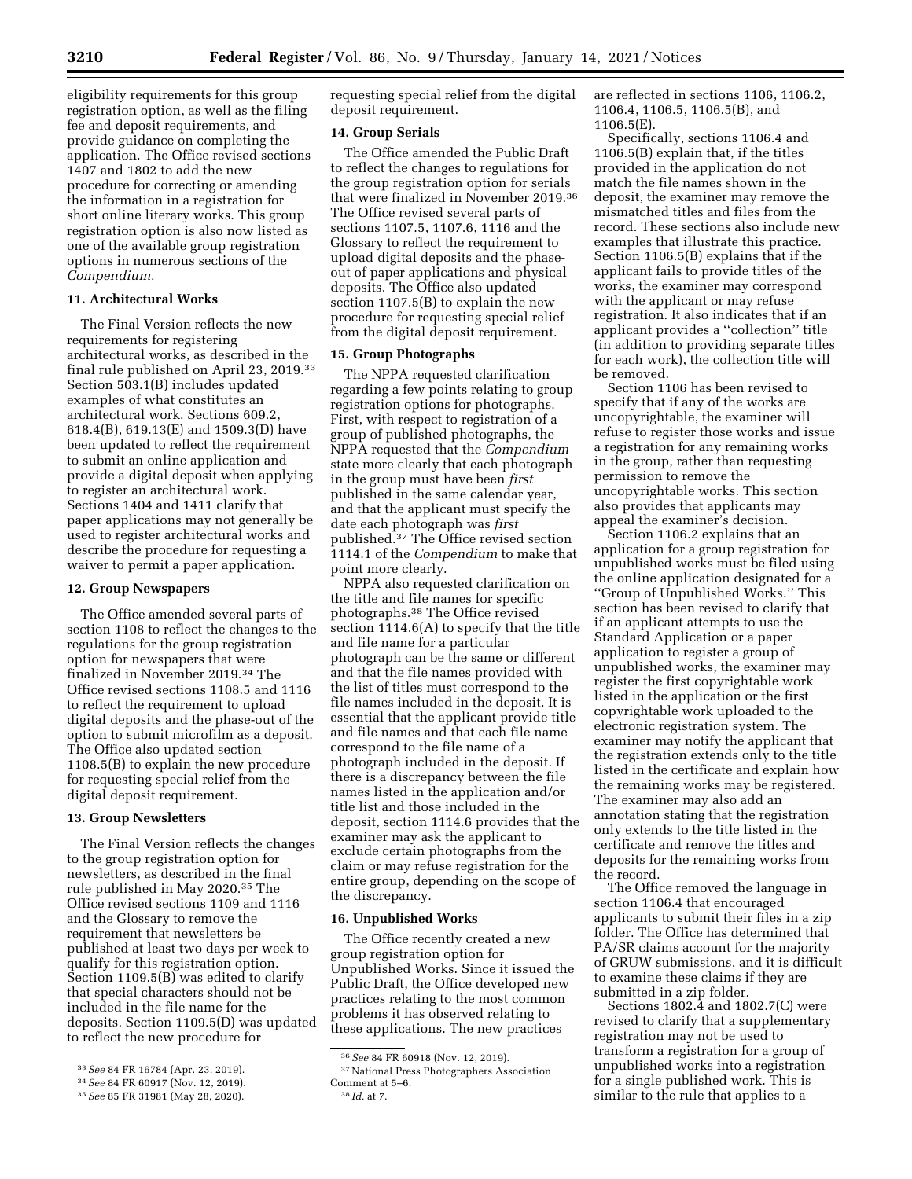eligibility requirements for this group registration option, as well as the filing fee and deposit requirements, and provide guidance on completing the application. The Office revised sections 1407 and 1802 to add the new procedure for correcting or amending the information in a registration for short online literary works. This group registration option is also now listed as one of the available group registration options in numerous sections of the *Compendium.* 

## **11. Architectural Works**

The Final Version reflects the new requirements for registering architectural works, as described in the final rule published on April 23, 2019.33 Section 503.1(B) includes updated examples of what constitutes an architectural work. Sections 609.2, 618.4(B), 619.13(E) and 1509.3(D) have been updated to reflect the requirement to submit an online application and provide a digital deposit when applying to register an architectural work. Sections 1404 and 1411 clarify that paper applications may not generally be used to register architectural works and describe the procedure for requesting a waiver to permit a paper application.

## **12. Group Newspapers**

The Office amended several parts of section 1108 to reflect the changes to the regulations for the group registration option for newspapers that were finalized in November 2019.34 The Office revised sections 1108.5 and 1116 to reflect the requirement to upload digital deposits and the phase-out of the option to submit microfilm as a deposit. The Office also updated section 1108.5(B) to explain the new procedure for requesting special relief from the digital deposit requirement.

## **13. Group Newsletters**

The Final Version reflects the changes to the group registration option for newsletters, as described in the final rule published in May 2020.35 The Office revised sections 1109 and 1116 and the Glossary to remove the requirement that newsletters be published at least two days per week to qualify for this registration option. Section 1109.5(B) was edited to clarify that special characters should not be included in the file name for the deposits. Section 1109.5(D) was updated to reflect the new procedure for

requesting special relief from the digital deposit requirement.

## **14. Group Serials**

The Office amended the Public Draft to reflect the changes to regulations for the group registration option for serials that were finalized in November 2019.36 The Office revised several parts of sections 1107.5, 1107.6, 1116 and the Glossary to reflect the requirement to upload digital deposits and the phaseout of paper applications and physical deposits. The Office also updated section 1107.5(B) to explain the new procedure for requesting special relief from the digital deposit requirement.

## **15. Group Photographs**

The NPPA requested clarification regarding a few points relating to group registration options for photographs. First, with respect to registration of a group of published photographs, the NPPA requested that the *Compendium*  state more clearly that each photograph in the group must have been *first*  published in the same calendar year, and that the applicant must specify the date each photograph was *first*  published.37 The Office revised section 1114.1 of the *Compendium* to make that point more clearly.

NPPA also requested clarification on the title and file names for specific photographs.38 The Office revised section 1114.6(A) to specify that the title and file name for a particular photograph can be the same or different and that the file names provided with the list of titles must correspond to the file names included in the deposit. It is essential that the applicant provide title and file names and that each file name correspond to the file name of a photograph included in the deposit. If there is a discrepancy between the file names listed in the application and/or title list and those included in the deposit, section 1114.6 provides that the examiner may ask the applicant to exclude certain photographs from the claim or may refuse registration for the entire group, depending on the scope of the discrepancy.

### **16. Unpublished Works**

The Office recently created a new group registration option for Unpublished Works. Since it issued the Public Draft, the Office developed new practices relating to the most common problems it has observed relating to these applications. The new practices

are reflected in sections 1106, 1106.2, 1106.4, 1106.5, 1106.5(B), and 1106.5(E).

Specifically, sections 1106.4 and 1106.5(B) explain that, if the titles provided in the application do not match the file names shown in the deposit, the examiner may remove the mismatched titles and files from the record. These sections also include new examples that illustrate this practice. Section 1106.5(B) explains that if the applicant fails to provide titles of the works, the examiner may correspond with the applicant or may refuse registration. It also indicates that if an applicant provides a ''collection'' title (in addition to providing separate titles for each work), the collection title will be removed.

Section 1106 has been revised to specify that if any of the works are uncopyrightable, the examiner will refuse to register those works and issue a registration for any remaining works in the group, rather than requesting permission to remove the uncopyrightable works. This section also provides that applicants may appeal the examiner's decision.

Section 1106.2 explains that an application for a group registration for unpublished works must be filed using the online application designated for a ''Group of Unpublished Works.'' This section has been revised to clarify that if an applicant attempts to use the Standard Application or a paper application to register a group of unpublished works, the examiner may register the first copyrightable work listed in the application or the first copyrightable work uploaded to the electronic registration system. The examiner may notify the applicant that the registration extends only to the title listed in the certificate and explain how the remaining works may be registered. The examiner may also add an annotation stating that the registration only extends to the title listed in the certificate and remove the titles and deposits for the remaining works from the record.

The Office removed the language in section 1106.4 that encouraged applicants to submit their files in a zip folder. The Office has determined that PA/SR claims account for the majority of GRUW submissions, and it is difficult to examine these claims if they are submitted in a zip folder.

Sections 1802.4 and 1802.7(C) were revised to clarify that a supplementary registration may not be used to transform a registration for a group of unpublished works into a registration for a single published work. This is similar to the rule that applies to a

<sup>33</sup>*See* 84 FR 16784 (Apr. 23, 2019).

<sup>34</sup>*See* 84 FR 60917 (Nov. 12, 2019).

<sup>35</sup>*See* 85 FR 31981 (May 28, 2020).

<sup>36</sup>*See* 84 FR 60918 (Nov. 12, 2019).

<sup>37</sup>National Press Photographers Association Comment at 5–6. 38 *Id.* at 7.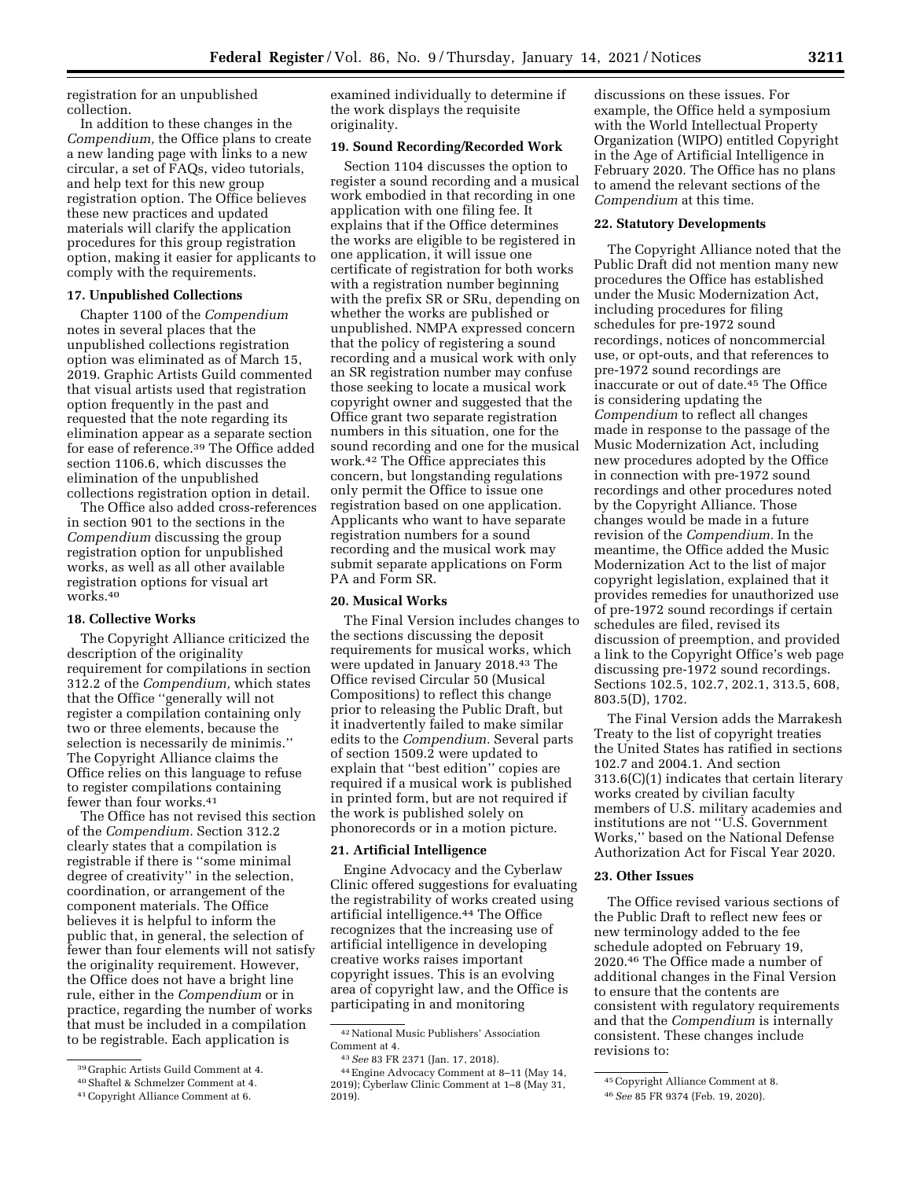registration for an unpublished collection.

In addition to these changes in the *Compendium,* the Office plans to create a new landing page with links to a new circular, a set of FAQs, video tutorials, and help text for this new group registration option. The Office believes these new practices and updated materials will clarify the application procedures for this group registration option, making it easier for applicants to comply with the requirements.

## **17. Unpublished Collections**

Chapter 1100 of the *Compendium*  notes in several places that the unpublished collections registration option was eliminated as of March 15, 2019. Graphic Artists Guild commented that visual artists used that registration option frequently in the past and requested that the note regarding its elimination appear as a separate section for ease of reference.39 The Office added section 1106.6, which discusses the elimination of the unpublished collections registration option in detail.

The Office also added cross-references in section 901 to the sections in the *Compendium* discussing the group registration option for unpublished works, as well as all other available registration options for visual art works.40

#### **18. Collective Works**

The Copyright Alliance criticized the description of the originality requirement for compilations in section 312.2 of the *Compendium,* which states that the Office ''generally will not register a compilation containing only two or three elements, because the selection is necessarily de minimis.'' The Copyright Alliance claims the Office relies on this language to refuse to register compilations containing fewer than four works.41

The Office has not revised this section of the *Compendium.* Section 312.2 clearly states that a compilation is registrable if there is ''some minimal degree of creativity'' in the selection, coordination, or arrangement of the component materials. The Office believes it is helpful to inform the public that, in general, the selection of fewer than four elements will not satisfy the originality requirement. However, the Office does not have a bright line rule, either in the *Compendium* or in practice, regarding the number of works that must be included in a compilation to be registrable. Each application is

examined individually to determine if the work displays the requisite originality.

#### **19. Sound Recording/Recorded Work**

Section 1104 discusses the option to register a sound recording and a musical work embodied in that recording in one application with one filing fee. It explains that if the Office determines the works are eligible to be registered in one application, it will issue one certificate of registration for both works with a registration number beginning with the prefix SR or SRu, depending on whether the works are published or unpublished. NMPA expressed concern that the policy of registering a sound recording and a musical work with only an SR registration number may confuse those seeking to locate a musical work copyright owner and suggested that the Office grant two separate registration numbers in this situation, one for the sound recording and one for the musical work.42 The Office appreciates this concern, but longstanding regulations only permit the Office to issue one registration based on one application. Applicants who want to have separate registration numbers for a sound recording and the musical work may submit separate applications on Form PA and Form SR.

### **20. Musical Works**

The Final Version includes changes to the sections discussing the deposit requirements for musical works, which were updated in January 2018.43 The Office revised Circular 50 (Musical Compositions) to reflect this change prior to releasing the Public Draft, but it inadvertently failed to make similar edits to the *Compendium.* Several parts of section 1509.2 were updated to explain that ''best edition'' copies are required if a musical work is published in printed form, but are not required if the work is published solely on phonorecords or in a motion picture.

#### **21. Artificial Intelligence**

Engine Advocacy and the Cyberlaw Clinic offered suggestions for evaluating the registrability of works created using artificial intelligence.<sup>44</sup> The Office recognizes that the increasing use of artificial intelligence in developing creative works raises important copyright issues. This is an evolving area of copyright law, and the Office is participating in and monitoring

discussions on these issues. For example, the Office held a symposium with the World Intellectual Property Organization (WIPO) entitled Copyright in the Age of Artificial Intelligence in February 2020. The Office has no plans to amend the relevant sections of the *Compendium* at this time.

### **22. Statutory Developments**

The Copyright Alliance noted that the Public Draft did not mention many new procedures the Office has established under the Music Modernization Act, including procedures for filing schedules for pre-1972 sound recordings, notices of noncommercial use, or opt-outs, and that references to pre-1972 sound recordings are inaccurate or out of date.<sup>45</sup> The Office is considering updating the *Compendium* to reflect all changes made in response to the passage of the Music Modernization Act, including new procedures adopted by the Office in connection with pre-1972 sound recordings and other procedures noted by the Copyright Alliance. Those changes would be made in a future revision of the *Compendium.* In the meantime, the Office added the Music Modernization Act to the list of major copyright legislation, explained that it provides remedies for unauthorized use of pre-1972 sound recordings if certain schedules are filed, revised its discussion of preemption, and provided a link to the Copyright Office's web page discussing pre-1972 sound recordings. Sections 102.5, 102.7, 202.1, 313.5, 608, 803.5(D), 1702.

The Final Version adds the Marrakesh Treaty to the list of copyright treaties the United States has ratified in sections 102.7 and 2004.1. And section 313.6(C)(1) indicates that certain literary works created by civilian faculty members of U.S. military academies and institutions are not ''U.S. Government Works,'' based on the National Defense Authorization Act for Fiscal Year 2020.

## **23. Other Issues**

The Office revised various sections of the Public Draft to reflect new fees or new terminology added to the fee schedule adopted on February 19, 2020.46 The Office made a number of additional changes in the Final Version to ensure that the contents are consistent with regulatory requirements and that the *Compendium* is internally consistent. These changes include revisions to:

<sup>39</sup> Graphic Artists Guild Comment at 4.

<sup>40</sup>Shaftel & Schmelzer Comment at 4.

<sup>41</sup>Copyright Alliance Comment at 6.

<sup>42</sup>National Music Publishers' Association Comment at 4.

<sup>43</sup>*See* 83 FR 2371 (Jan. 17, 2018).

<sup>44</sup>Engine Advocacy Comment at 8–11 (May 14, 2019); Cyberlaw Clinic Comment at 1–8 (May 31, 2019).

<sup>45</sup>Copyright Alliance Comment at 8.

<sup>46</sup>*See* 85 FR 9374 (Feb. 19, 2020).